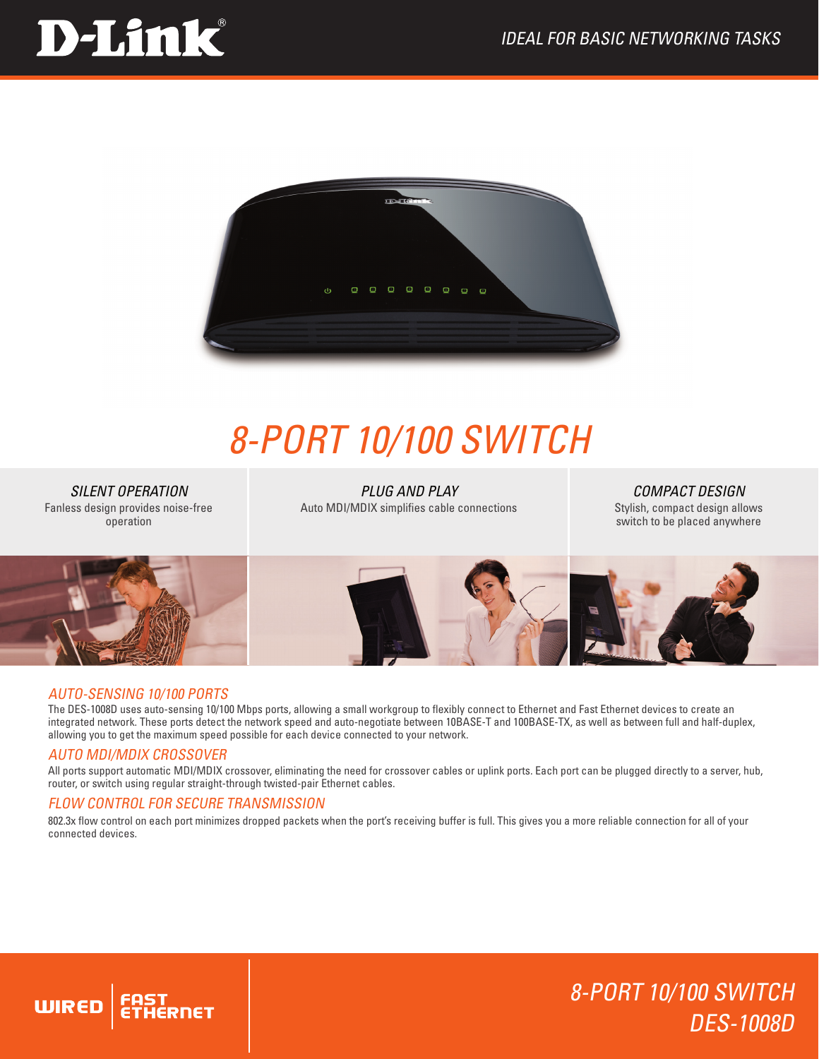# D-Link®



## *8-Port 10/100 Switch*

*SILENT OPERATION* Fanless design provides noise-free operation

*PLUG AND PLAY* Auto MDI/MDIX simplifies cable connections

*COMPACT DESIGN* Stylish, compact design allows switch to be placed anywhere

8-PORT 10/100 SWITCH

DES-1008D



#### Auto-sensing 10/100 ports

The DES-1008D uses auto-sensing 10/100 Mbps ports, allowing a small workgroup to flexibly connect to Ethernet and Fast Ethernet devices to create an integrated network. These ports detect the network speed and auto-negotiate between 10BASE-T and 100BASE-TX, as well as between full and half-duplex, allowing you to get the maximum speed possible for each device connected to your network.

### Auto MDI/MDIX CrossOver

**WIRED** 

All ports support automatic MDI/MDIX crossover, eliminating the need for crossover cables or uplink ports. Each port can be plugged directly to a server, hub, router, or switch using regular straight-through twisted-pair Ethernet cables.

### FLOW CONTROL FOR SECURE TRANSMISSION

802.3x flow control on each port minimizes dropped packets when the port's receiving buffer is full. This gives you a more reliable connection for all of your connected devices.